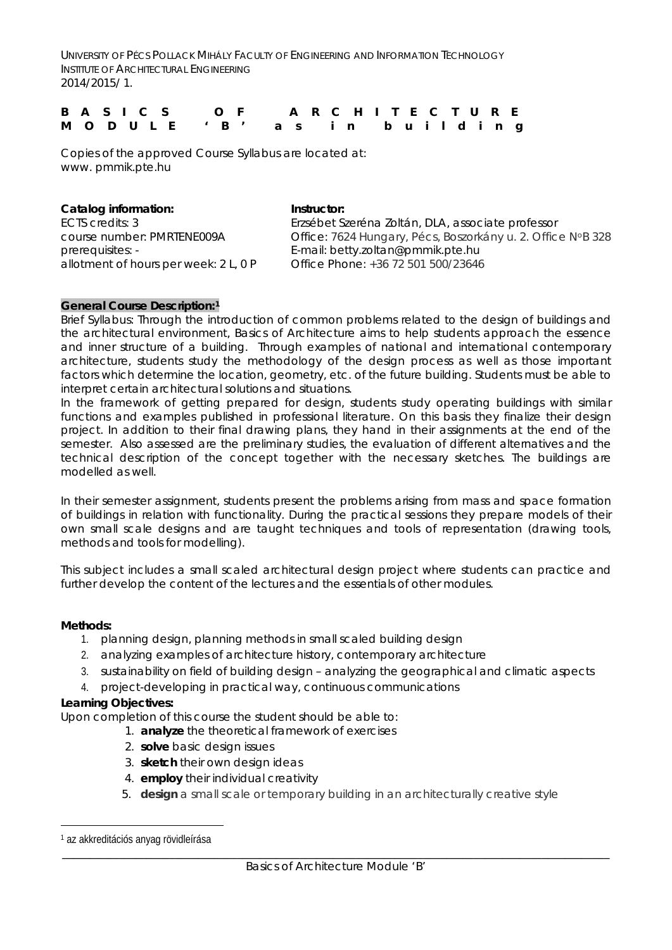UNIVERSITY OF PÉCS POLLACK MIHÁLY FACULTY OF ENGINEERING AND INFORMATION TECHNOLOGY INSTITUTE OF ARCHITECTURAL ENGINEERING 2014/2015/ 1.

|  |  |  | B A S I C S O F A R C H I T E C T U R E |  |  |  |  |  |  |  |
|--|--|--|-----------------------------------------|--|--|--|--|--|--|--|
|  |  |  | MODULE 'B' as in building               |  |  |  |  |  |  |  |

Copies of the approved Course Syllabus are located at: www. pmmik.pte.hu

| Catalog information:                  | Instructor:                                                 |
|---------------------------------------|-------------------------------------------------------------|
| ECTS credits: 3                       | Erzsébet Szeréna Zoltán, DLA, associate professor           |
| course number: PMRTENE009A            | Office: 7624 Hungary, Pécs, Boszorkány u. 2. Office NºB 328 |
| prerequisites: -                      | E-mail: betty.zoltan@pmmik.pte.hu                           |
| allotment of hours per week: 2 L, 0 P | Office Phone: +36 72 501 500/23646                          |
|                                       |                                                             |

### **General Course Description:[1](#page-0-0)**

Brief Syllabus: Through the introduction of common problems related to the design of buildings and the architectural environment, Basics of Architecture aims to help students approach the essence and inner structure of a building. Through examples of national and international contemporary architecture, students study the methodology of the design process as well as those important factors which determine the location, geometry, etc. of the future building. Students must be able to interpret certain architectural solutions and situations.

In the framework of getting prepared for design, students study operating buildings with similar functions and examples published in professional literature. On this basis they finalize their design project. In addition to their final drawing plans, they hand in their assignments at the end of the semester. Also assessed are the preliminary studies, the evaluation of different alternatives and the technical description of the concept together with the necessary sketches. The buildings are modelled as well.

In their semester assignment, students present the problems arising from mass and space formation of buildings in relation with functionality. During the practical sessions they prepare models of their own small scale designs and are taught techniques and tools of representation (drawing tools, methods and tools for modelling).

This subject includes a small scaled architectural design project where students can practice and further develop the content of the lectures and the essentials of other modules.

### **Methods:**

- 1. planning design, planning methods in small scaled building design
- 2. analyzing examples of architecture history, contemporary architecture
- 3. sustainability on field of building design analyzing the geographical and climatic aspects
- 4. project-developing in practical way, continuous communications

### **Learning Objectives:**

Upon completion of this course the student should be able to:

- 1. **analyze** the theoretical framework of exercises
	- 2. **solve** basic design issues
	- 3. **sketch** their own design ideas
	- 4. **employ** their individual creativity
	- 5. **design** a small scale or temporary building in an architecturally creative style

<span id="page-0-0"></span><sup>1</sup> az akkreditációs anyag rövidleírása Ĩ.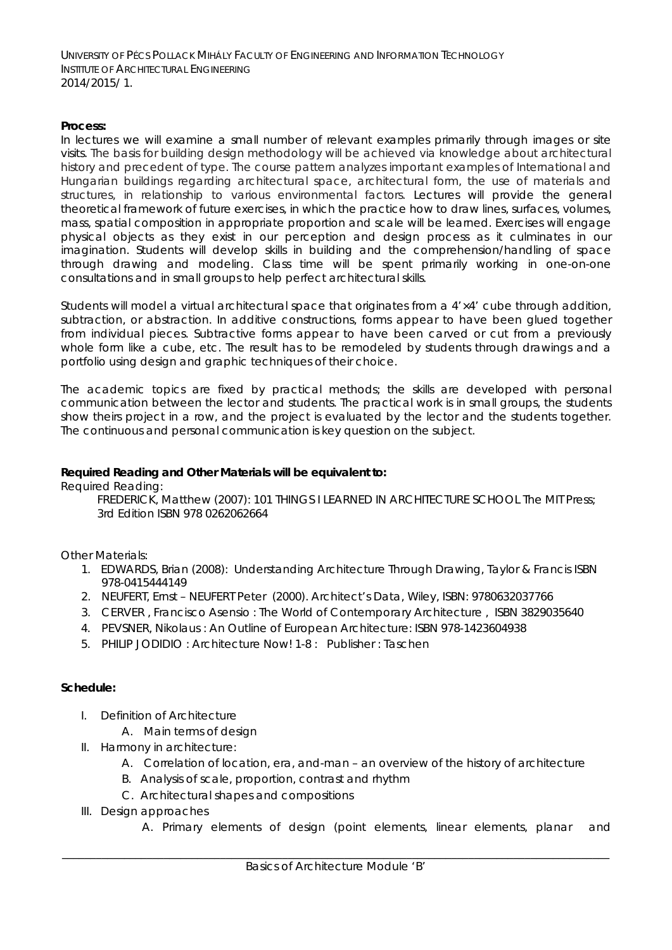UNIVERSITY OF PÉCS POLLACK MIHÁLY FACULTY OF ENGINEERING AND INFORMATION TECHNOLOGY INSTITUTE OF ARCHITECTURAL ENGINEERING 2014/2015/ 1.

## **Process:**

In lectures we will examine a small number of relevant examples primarily through images or site visits. The basis for building design methodology will be achieved via knowledge about architectural history and precedent of type. The course pattern analyzes important examples of International and Hungarian buildings regarding architectural space, architectural form, the use of materials and structures, in relationship to various environmental factors. Lectures will provide the general theoretical framework of future exercises, in which the practice how to draw lines, surfaces, volumes, mass, spatial composition in appropriate proportion and scale will be learned. Exercises will engage physical objects as they exist in our perception and design process as it culminates in our imagination. Students will develop skills in building and the comprehension/handling of space through drawing and modeling. Class time will be spent primarily working in one-on-one consultations and in small groups to help perfect architectural skills.

Students will model a virtual architectural space that originates from a 4'×4' cube through addition, subtraction, or abstraction. In additive constructions, forms appear to have been glued together from individual pieces. Subtractive forms appear to have been carved or cut from a previously whole form like a cube, etc. The result has to be remodeled by students through drawings and a portfolio using design and graphic techniques of their choice.

The academic topics are fixed by practical methods; the skills are developed with personal communication between the lector and students. The practical work is in small groups, the students show theirs project in a row, and the project is evaluated by the lector and the students together. The continuous and personal communication is key question on the subject.

## **Required Reading and Other Materials will be equivalent to:**

*Required Reading:*

FREDERICK, Matthew (2007): *101 THINGS I LEARNED IN ARCHITECTURE SCHOOL* The MIT Press; 3rd Edition ISBN 978 0262062664

*Other Materials:*

- 1. EDWARDS, Brian (2008): *Understanding Architecture Through Drawing,* Taylor & Francis ISBN 978-0415444149
- 2. NEUFERT, Ernst NEUFERT Peter (2000). *Architect's Data*, Wiley, ISBN: 9780632037766
- *3.* CERVER , Francisco Asensio : *The World of Contemporary Architecture* , *ISBN* 3829035640
- 4. PEVSNER, Nikolaus *: An Outline of European Architecture: ISBN* 978-1423604938
- 5. PHILIP JODIDIO : *Architecture Now! 1-8* : Publisher : Taschen

# **Schedule:**

- I. Definition of Architecture
	- A. Main terms of design
- II. Harmony in architecture:
	- A. Correlation of location, era, and-man an overview of the history of architecture
	- B. Analysis of scale, proportion, contrast and rhythm
	- C. Architectural shapes and compositions
- III. Design approaches
	- A. Primary elements of design (point elements, linear elements, planar and